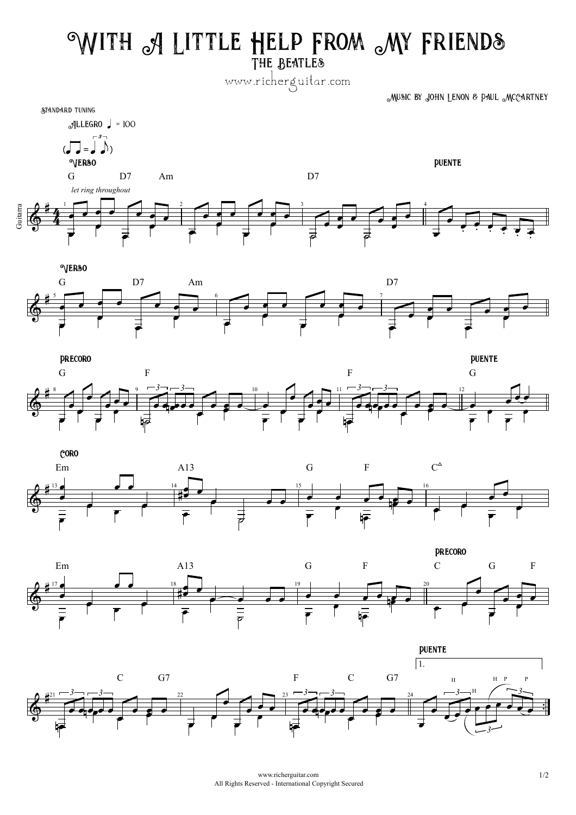## **With A Little Help From My Friends**

**The Beatles**

www.richerguitar.com

**Music by John Lenon & Paul McCartney**

















www.richerguitar.com 1/2 All Rights Reserved - International Copyright Secured